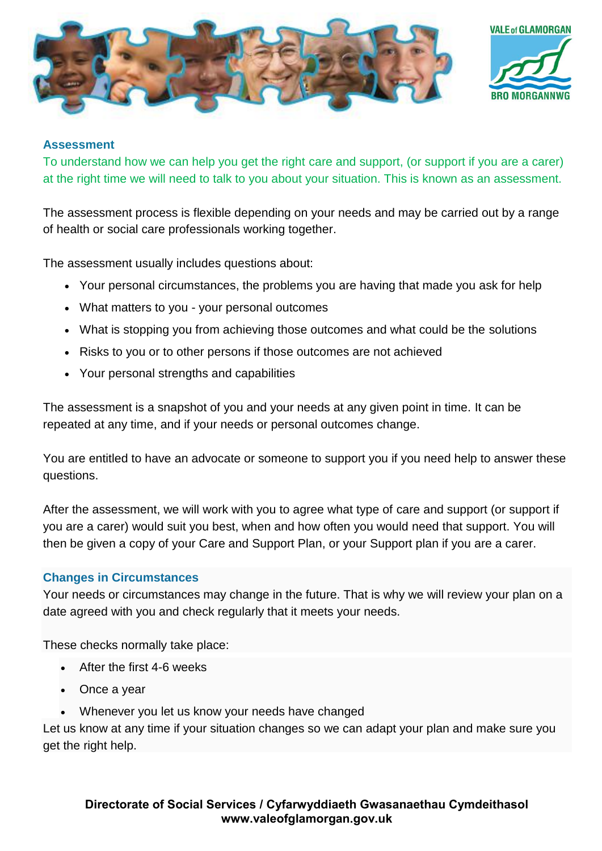



## **Assessment**

To understand how we can help you get the right care and support, (or support if you are a carer) at the right time we will need to talk to you about your situation. This is known as an assessment.

The assessment process is flexible depending on your needs and may be carried out by a range of health or social care professionals working together.

The assessment usually includes questions about:

- Your personal circumstances, the problems you are having that made you ask for help
- What matters to you your personal outcomes
- What is stopping you from achieving those outcomes and what could be the solutions
- Risks to you or to other persons if those outcomes are not achieved
- Your personal strengths and capabilities

The assessment is a snapshot of you and your needs at any given point in time. It can be repeated at any time, and if your needs or personal outcomes change.

You are entitled to have an advocate or someone to support you if you need help to answer these questions.

After the assessment, we will work with you to agree what type of care and support (or support if you are a carer) would suit you best, when and how often you would need that support. You will then be given a copy of your Care and Support Plan, or your Support plan if you are a carer.

## **Changes in Circumstances**

Your needs or circumstances may change in the future. That is why we will review your plan on a date agreed with you and check regularly that it meets your needs.

These checks normally take place:

- After the first 4-6 weeks
- Once a year
- Whenever you let us know your needs have changed

Let us know at any time if your situation changes so we can adapt your plan and make sure you get the right help.